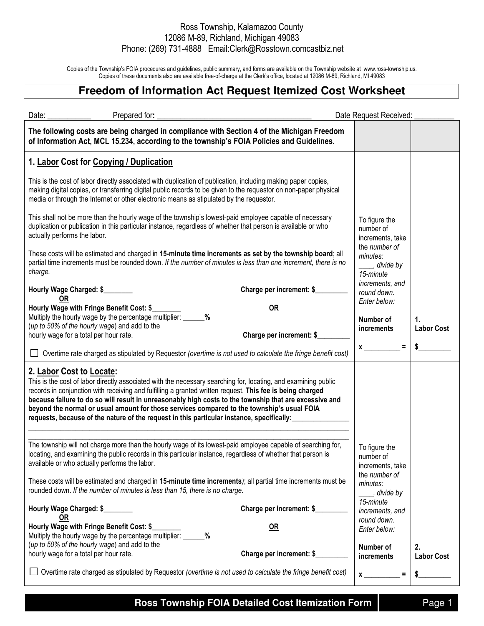## Ross Township, Kalamazoo County 12086 M-89, Richland, Michigan 49083 Phone: (269) 731-4888 Email:Clerk@Rosstown.comcastbiz.net

Copies of the Township's FOIA procedures and guidelines, public summary, and forms are available on the Township website at www.ross-township.us. Copies of these documents also are available free-of-charge at the Clerk's office, located at 12086 M-89, Richland, MI 49083

## **Freedom of Information Act Request Itemized Cost Worksheet**

| Date:<br>Prepared for:                                                                                                                                                                                                                                                                                                                                                                                                                                                                                                                                       |                           | Date Request Received:                                                                                |                         |
|--------------------------------------------------------------------------------------------------------------------------------------------------------------------------------------------------------------------------------------------------------------------------------------------------------------------------------------------------------------------------------------------------------------------------------------------------------------------------------------------------------------------------------------------------------------|---------------------------|-------------------------------------------------------------------------------------------------------|-------------------------|
| The following costs are being charged in compliance with Section 4 of the Michigan Freedom<br>of Information Act, MCL 15.234, according to the township's FOIA Policies and Guidelines.                                                                                                                                                                                                                                                                                                                                                                      |                           |                                                                                                       |                         |
| 1. Labor Cost for Copying / Duplication                                                                                                                                                                                                                                                                                                                                                                                                                                                                                                                      |                           |                                                                                                       |                         |
| This is the cost of labor directly associated with duplication of publication, including making paper copies,<br>making digital copies, or transferring digital public records to be given to the requestor on non-paper physical<br>media or through the Internet or other electronic means as stipulated by the requestor.                                                                                                                                                                                                                                 |                           |                                                                                                       |                         |
| This shall not be more than the hourly wage of the township's lowest-paid employee capable of necessary<br>duplication or publication in this particular instance, regardless of whether that person is available or who<br>actually performs the labor.<br>These costs will be estimated and charged in 15-minute time increments as set by the township board; all<br>partial time increments must be rounded down. If the number of minutes is less than one increment, there is no<br>charge.                                                            |                           | To figure the<br>number of<br>increments, take<br>the number of<br>minutes:<br>stride by<br>15-minute |                         |
|                                                                                                                                                                                                                                                                                                                                                                                                                                                                                                                                                              |                           |                                                                                                       |                         |
| Hourly Wage Charged: \$                                                                                                                                                                                                                                                                                                                                                                                                                                                                                                                                      | Charge per increment: \$  | increments, and<br>round down.                                                                        |                         |
| <b>OR</b><br>Hourly Wage with Fringe Benefit Cost: \$                                                                                                                                                                                                                                                                                                                                                                                                                                                                                                        | <b>OR</b>                 | Enter below:                                                                                          |                         |
| Multiply the hourly wage by the percentage multiplier: _____<br>$\%$<br>(up to 50% of the hourly wage) and add to the                                                                                                                                                                                                                                                                                                                                                                                                                                        |                           | Number of<br><i>increments</i>                                                                        | 1.<br><b>Labor Cost</b> |
| hourly wage for a total per hour rate.                                                                                                                                                                                                                                                                                                                                                                                                                                                                                                                       | Charge per increment: \$  | $\equiv$                                                                                              |                         |
| $\Box$ Overtime rate charged as stipulated by Requestor (overtime is not used to calculate the fringe benefit cost)                                                                                                                                                                                                                                                                                                                                                                                                                                          |                           | $\boldsymbol{\mathsf{x}}$                                                                             |                         |
| 2. Labor Cost to Locate:<br>This is the cost of labor directly associated with the necessary searching for, locating, and examining public<br>records in conjunction with receiving and fulfilling a granted written request. This fee is being charged<br>because failure to do so will result in unreasonably high costs to the township that are excessive and<br>beyond the normal or usual amount for those services compared to the township's usual FOIA<br>requests, because of the nature of the request in this particular instance, specifically: |                           |                                                                                                       |                         |
| The township will not charge more than the hourly wage of its lowest-paid employee capable of searching for,<br>locating, and examining the public records in this particular instance, regardless of whether that person is<br>available or who actually performs the labor.                                                                                                                                                                                                                                                                                |                           | To figure the<br>number of<br>increments, take                                                        |                         |
| These costs will be estimated and charged in 15-minute time increments); all partial time increments must be<br>rounded down. If the number of minutes is less than 15, there is no charge.                                                                                                                                                                                                                                                                                                                                                                  |                           | the number of<br>minutes:<br>s divide by                                                              |                         |
| Hourly Wage Charged: \$<br><b>OR</b>                                                                                                                                                                                                                                                                                                                                                                                                                                                                                                                         | Charge per increment: \$_ | 15-minute<br>increments, and                                                                          |                         |
| Hourly Wage with Fringe Benefit Cost: \$                                                                                                                                                                                                                                                                                                                                                                                                                                                                                                                     | <b>OR</b>                 | round down.<br>Enter below:                                                                           |                         |
| Multiply the hourly wage by the percentage multiplier: _______%<br>(up to 50% of the hourly wage) and add to the<br>hourly wage for a total per hour rate.                                                                                                                                                                                                                                                                                                                                                                                                   | Charge per increment: \$  | Number of<br>increments                                                                               | 2.<br><b>Labor Cost</b> |
| Overtime rate charged as stipulated by Requestor (overtime is not used to calculate the fringe benefit cost)                                                                                                                                                                                                                                                                                                                                                                                                                                                 |                           | Ξ<br>$\mathbf{x}$                                                                                     |                         |

**Ross Township FOIA Detailed Cost Itemization Form** Page 1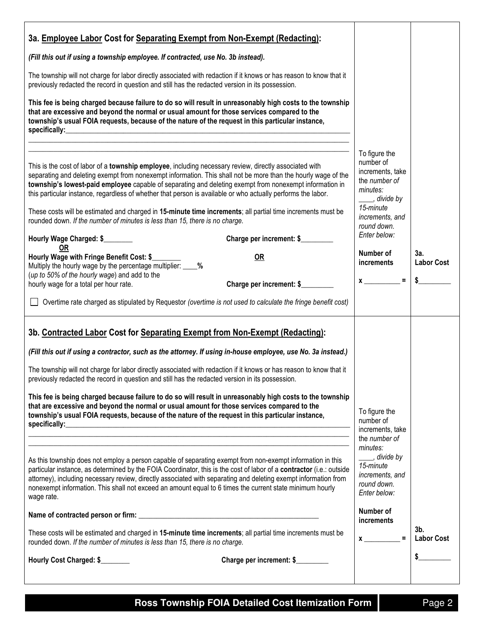| 3a. Employee Labor Cost for Separating Exempt from Non-Exempt (Redacting):<br>(Fill this out if using a township employee. If contracted, use No. 3b instead).<br>The township will not charge for labor directly associated with redaction if it knows or has reason to know that it<br>previously redacted the record in question and still has the redacted version in its possession.<br>This fee is being charged because failure to do so will result in unreasonably high costs to the township<br>that are excessive and beyond the normal or usual amount for those services compared to the<br>township's usual FOIA requests, because of the nature of the request in this particular instance,<br>specifically: experience and the specifical specifical system of the specifical system of the system of the system of the system of the system of the system of the system of the system of the system of the system of the sy                                                                                                                                                                                                                                                                                                                                                                                                                                                                                                                                     |                                                                                                                                                                                                                                                 |                                |
|----------------------------------------------------------------------------------------------------------------------------------------------------------------------------------------------------------------------------------------------------------------------------------------------------------------------------------------------------------------------------------------------------------------------------------------------------------------------------------------------------------------------------------------------------------------------------------------------------------------------------------------------------------------------------------------------------------------------------------------------------------------------------------------------------------------------------------------------------------------------------------------------------------------------------------------------------------------------------------------------------------------------------------------------------------------------------------------------------------------------------------------------------------------------------------------------------------------------------------------------------------------------------------------------------------------------------------------------------------------------------------------------------------------------------------------------------------------------------------|-------------------------------------------------------------------------------------------------------------------------------------------------------------------------------------------------------------------------------------------------|--------------------------------|
| This is the cost of labor of a township employee, including necessary review, directly associated with<br>separating and deleting exempt from nonexempt information. This shall not be more than the hourly wage of the<br>township's lowest-paid employee capable of separating and deleting exempt from nonexempt information in<br>this particular instance, regardless of whether that person is available or who actually performs the labor.<br>These costs will be estimated and charged in 15-minute time increments; all partial time increments must be<br>rounded down. If the number of minutes is less than 15, there is no charge.<br>Hourly Wage Charged: \$<br>Charge per increment: \$<br><b>OR</b><br>Hourly Wage with Fringe Benefit Cost: \$<br><b>OR</b><br>Multiply the hourly wage by the percentage multiplier: ____%<br>(up to 50% of the hourly wage) and add to the<br>Charge per increment: \$<br>hourly wage for a total per hour rate.<br>Overtime rate charged as stipulated by Requestor (overtime is not used to calculate the fringe benefit cost)                                                                                                                                                                                                                                                                                                                                                                                             | To figure the<br>number of<br>increments, take<br>the number of<br>minutes:<br>____, divide by<br>15-minute<br>increments, and<br>round down.<br>Enter below:<br>Number of<br><i>increments</i><br>$x \sim$ = $\vert$                           | 3a.<br><b>Labor Cost</b><br>\$ |
| 3b. Contracted Labor Cost for Separating Exempt from Non-Exempt (Redacting):<br>(Fill this out if using a contractor, such as the attorney. If using in-house employee, use No. 3a instead.)<br>The township will not charge for labor directly associated with redaction if it knows or has reason to know that it<br>previously redacted the record in question and still has the redacted version in its possession.<br>This fee is being charged because failure to do so will result in unreasonably high costs to the township<br>that are excessive and beyond the normal or usual amount for those services compared to the<br>township's usual FOIA requests, because of the nature of the request in this particular instance,<br>As this township does not employ a person capable of separating exempt from non-exempt information in this<br>particular instance, as determined by the FOIA Coordinator, this is the cost of labor of a contractor (i.e.: outside<br>attorney), including necessary review, directly associated with separating and deleting exempt information from<br>nonexempt information. This shall not exceed an amount equal to 6 times the current state minimum hourly<br>wage rate.<br>These costs will be estimated and charged in 15-minute time increments; all partial time increments must be<br>rounded down. If the number of minutes is less than 15, there is no charge.<br>Hourly Cost Charged: \$<br>Charge per increment: \$ | To figure the<br>number of<br>increments, take<br>the number of<br>minutes:<br>divide by <i>____</i><br>15-minute<br>increments, and<br>round down.<br>Enter below:<br>Number of<br><i>increments</i><br>$\equiv$<br>$x \overline{\phantom{a}}$ | 3b.<br><b>Labor Cost</b>       |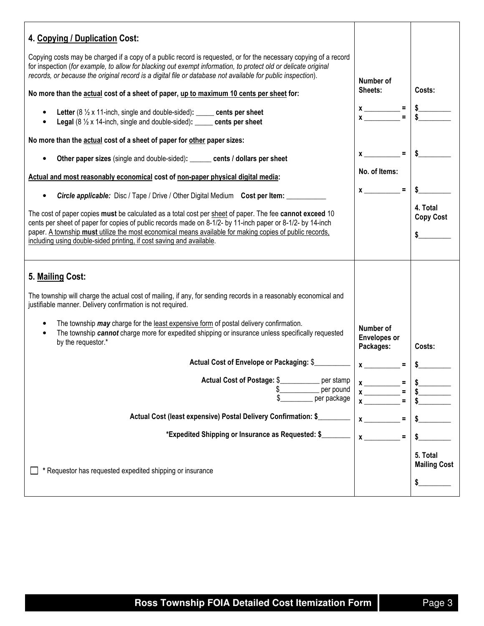| 4. Copying / Duplication Cost:                                                                                                                                                                                                                                                                                                                                                                            |                                               |                                       |
|-----------------------------------------------------------------------------------------------------------------------------------------------------------------------------------------------------------------------------------------------------------------------------------------------------------------------------------------------------------------------------------------------------------|-----------------------------------------------|---------------------------------------|
| Copying costs may be charged if a copy of a public record is requested, or for the necessary copying of a record<br>for inspection (for example, to allow for blacking out exempt information, to protect old or delicate original<br>records, or because the original record is a digital file or database not available for public inspection).                                                         |                                               |                                       |
| No more than the actual cost of a sheet of paper, up to maximum 10 cents per sheet for:                                                                                                                                                                                                                                                                                                                   |                                               | Costs:                                |
| Letter $(8 \frac{1}{2} \times 11$ -inch, single and double-sided): _____ cents per sheet<br>Legal (8 1/2 x 14-inch, single and double-sided): _____ cents per sheet                                                                                                                                                                                                                                       | $x \longrightarrow$ = $\frac{1}{s}$           |                                       |
| No more than the actual cost of a sheet of paper for other paper sizes:                                                                                                                                                                                                                                                                                                                                   |                                               |                                       |
| Other paper sizes (single and double-sided): ______ cents / dollars per sheet                                                                                                                                                                                                                                                                                                                             | $x \sim$ =                                    |                                       |
| Actual and most reasonably economical cost of non-paper physical digital media:                                                                                                                                                                                                                                                                                                                           | No. of Items:                                 |                                       |
| <b>Circle applicable:</b> Disc / Tape / Drive / Other Digital Medium Cost per Item:                                                                                                                                                                                                                                                                                                                       | $x \sim$ =                                    |                                       |
| The cost of paper copies must be calculated as a total cost per sheet of paper. The fee cannot exceed 10<br>cents per sheet of paper for copies of public records made on 8-1/2- by 11-inch paper or 8-1/2- by 14-inch<br>paper. A township must utilize the most economical means available for making copies of public records,<br>including using double-sided printing, if cost saving and available. |                                               | 4. Total<br><b>Copy Cost</b><br>\$    |
|                                                                                                                                                                                                                                                                                                                                                                                                           |                                               |                                       |
| 5. Mailing Cost:                                                                                                                                                                                                                                                                                                                                                                                          |                                               |                                       |
| The township will charge the actual cost of mailing, if any, for sending records in a reasonably economical and<br>justifiable manner. Delivery confirmation is not required.                                                                                                                                                                                                                             |                                               |                                       |
| The township may charge for the least expensive form of postal delivery confirmation.<br>The township cannot charge more for expedited shipping or insurance unless specifically requested<br>by the requestor.*                                                                                                                                                                                          | Number of<br><b>Envelopes or</b><br>Packages: | Costs:                                |
| Actual Cost of Envelope or Packaging: \$                                                                                                                                                                                                                                                                                                                                                                  | $=$ .                                         |                                       |
| <b>Actual Cost of Postage: \$</b><br>per stamp<br>per pound<br>per package                                                                                                                                                                                                                                                                                                                                | $\equiv$                                      |                                       |
| Actual Cost (least expensive) Postal Delivery Confirmation: \$_                                                                                                                                                                                                                                                                                                                                           |                                               |                                       |
| *Expedited Shipping or Insurance as Requested: \$                                                                                                                                                                                                                                                                                                                                                         |                                               |                                       |
| * Requestor has requested expedited shipping or insurance                                                                                                                                                                                                                                                                                                                                                 |                                               | 5. Total<br><b>Mailing Cost</b><br>\$ |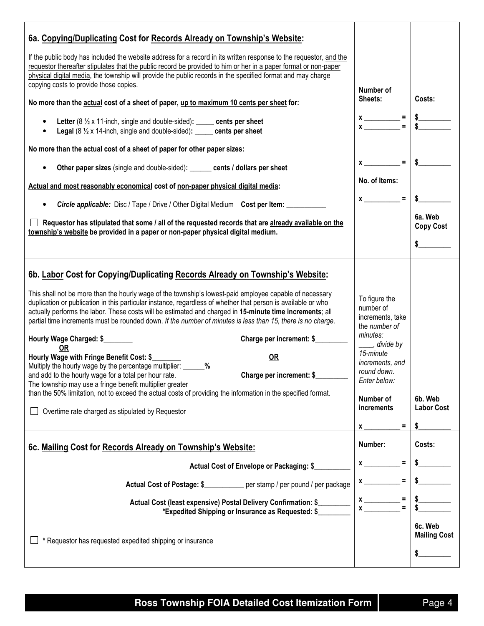| 6a. Copying/Duplicating Cost for Records Already on Township's Website:                                                                                                                                                                                                                                                                                                                                                                                                                                                                                                                                                                                                                                                                                                                                                                                                                                                                                                                                                                                     |                                                                                                                                                                                                                  |                                |
|-------------------------------------------------------------------------------------------------------------------------------------------------------------------------------------------------------------------------------------------------------------------------------------------------------------------------------------------------------------------------------------------------------------------------------------------------------------------------------------------------------------------------------------------------------------------------------------------------------------------------------------------------------------------------------------------------------------------------------------------------------------------------------------------------------------------------------------------------------------------------------------------------------------------------------------------------------------------------------------------------------------------------------------------------------------|------------------------------------------------------------------------------------------------------------------------------------------------------------------------------------------------------------------|--------------------------------|
| If the public body has included the website address for a record in its written response to the requestor, and the<br>requestor thereafter stipulates that the public record be provided to him or her in a paper format or non-paper<br>physical digital media, the township will provide the public records in the specified format and may charge<br>copying costs to provide those copies.                                                                                                                                                                                                                                                                                                                                                                                                                                                                                                                                                                                                                                                              | Number of                                                                                                                                                                                                        |                                |
| No more than the <b>actual</b> cost of a sheet of paper, up to maximum 10 cents per sheet for:                                                                                                                                                                                                                                                                                                                                                                                                                                                                                                                                                                                                                                                                                                                                                                                                                                                                                                                                                              | Sheets:                                                                                                                                                                                                          | Costs:                         |
| Letter ( $8\frac{1}{2}$ x 11-inch, single and double-sided): _____ cents per sheet<br>Legal (8 1/2 x 14-inch, single and double-sided): _____ cents per sheet                                                                                                                                                                                                                                                                                                                                                                                                                                                                                                                                                                                                                                                                                                                                                                                                                                                                                               | $x \overline{ )} =$                                                                                                                                                                                              |                                |
| No more than the actual cost of a sheet of paper for other paper sizes:                                                                                                                                                                                                                                                                                                                                                                                                                                                                                                                                                                                                                                                                                                                                                                                                                                                                                                                                                                                     |                                                                                                                                                                                                                  |                                |
| Other paper sizes (single and double-sided): ______ cents / dollars per sheet                                                                                                                                                                                                                                                                                                                                                                                                                                                                                                                                                                                                                                                                                                                                                                                                                                                                                                                                                                               | $x$ <sub>——</sub><br>$=$ $\overline{ }$                                                                                                                                                                          | $\mathsf{s}$                   |
| Actual and most reasonably economical cost of non-paper physical digital media:                                                                                                                                                                                                                                                                                                                                                                                                                                                                                                                                                                                                                                                                                                                                                                                                                                                                                                                                                                             | No. of Items:                                                                                                                                                                                                    |                                |
| <b>Circle applicable:</b> Disc / Tape / Drive / Other Digital Medium Cost per Item:                                                                                                                                                                                                                                                                                                                                                                                                                                                                                                                                                                                                                                                                                                                                                                                                                                                                                                                                                                         | $x \sim$ =                                                                                                                                                                                                       |                                |
| Requestor has stipulated that some / all of the requested records that are already available on the<br>township's website be provided in a paper or non-paper physical digital medium.                                                                                                                                                                                                                                                                                                                                                                                                                                                                                                                                                                                                                                                                                                                                                                                                                                                                      |                                                                                                                                                                                                                  | 6a. Web<br><b>Copy Cost</b>    |
|                                                                                                                                                                                                                                                                                                                                                                                                                                                                                                                                                                                                                                                                                                                                                                                                                                                                                                                                                                                                                                                             |                                                                                                                                                                                                                  |                                |
| 6b. Labor Cost for Copying/Duplicating Records Already on Township's Website:<br>This shall not be more than the hourly wage of the township's lowest-paid employee capable of necessary<br>duplication or publication in this particular instance, regardless of whether that person is available or who<br>actually performs the labor. These costs will be estimated and charged in 15-minute time increments; all<br>partial time increments must be rounded down. If the number of minutes is less than 15, there is no charge.<br>Hourly Wage Charged: \$<br>Charge per increment: \$<br><b>OR</b><br>Hourly Wage with Fringe Benefit Cost: \$<br><b>OR</b><br>Multiply the hourly wage by the percentage multiplier: _______ %<br>and add to the hourly wage for a total per hour rate.<br>Charge per increment: \$<br>The township may use a fringe benefit multiplier greater<br>than the 50% limitation, not to exceed the actual costs of providing the information in the specified format.<br>Overtime rate charged as stipulated by Requestor | To figure the<br>number of<br>increments, take<br>the number of<br>minutes:<br>____, divide by<br>15-minute<br>increments, and<br>round down.<br>Enter below:<br>Number of<br>increments<br>$\equiv$<br><b>X</b> | 6b. Web<br><b>Labor Cost</b>   |
| 6c. Mailing Cost for Records Already on Township's Website:                                                                                                                                                                                                                                                                                                                                                                                                                                                                                                                                                                                                                                                                                                                                                                                                                                                                                                                                                                                                 | Number:                                                                                                                                                                                                          | Costs:                         |
| Actual Cost of Envelope or Packaging: \$                                                                                                                                                                                                                                                                                                                                                                                                                                                                                                                                                                                                                                                                                                                                                                                                                                                                                                                                                                                                                    | $\boldsymbol{\mathsf{x}}$                                                                                                                                                                                        |                                |
| Actual Cost of Postage: \$<br>_____________ per stamp / per pound / per package                                                                                                                                                                                                                                                                                                                                                                                                                                                                                                                                                                                                                                                                                                                                                                                                                                                                                                                                                                             |                                                                                                                                                                                                                  |                                |
| Actual Cost (least expensive) Postal Delivery Confirmation: \$<br>*Expedited Shipping or Insurance as Requested: \$                                                                                                                                                                                                                                                                                                                                                                                                                                                                                                                                                                                                                                                                                                                                                                                                                                                                                                                                         | $\mathbf x$                                                                                                                                                                                                      |                                |
| * Requestor has requested expedited shipping or insurance                                                                                                                                                                                                                                                                                                                                                                                                                                                                                                                                                                                                                                                                                                                                                                                                                                                                                                                                                                                                   |                                                                                                                                                                                                                  | 6c. Web<br><b>Mailing Cost</b> |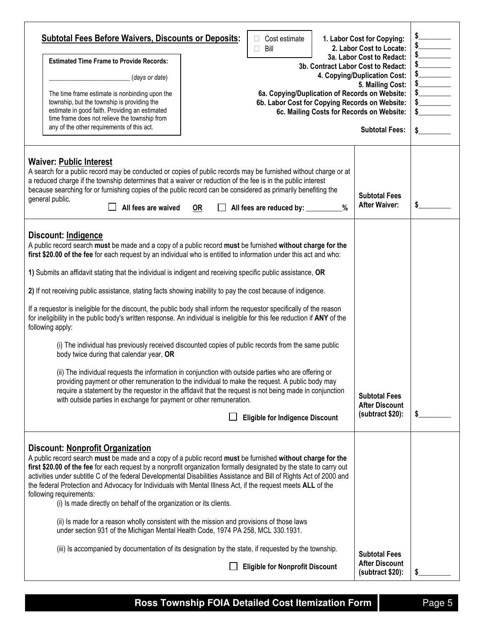| <b>Subtotal Fees Before Waivers, Discounts or Deposits:</b><br><b>Estimated Time Frame to Provide Records:</b><br>(days or date)<br>The time frame estimate is nonbinding upon the<br>township, but the township is providing the<br>estimate in good faith. Providing an estimated<br>time frame does not relieve the township from<br>any of the other requirements of this act.                                                                                                                                                                                                                                                                                                                                                                                                                                                                                                                                                                                                                                                                                                                                                                                                                                                                                                                               |           | Cost estimate<br>Bill<br>6a. Copying/Duplication of Records on Website:<br>6b. Labor Cost for Copying Records on Website: |  | 1. Labor Cost for Copying:<br>2. Labor Cost to Locate:<br>3a. Labor Cost to Redact:<br>3b. Contract Labor Cost to Redact:<br>4. Copying/Duplication Cost:<br>5. Mailing Cost:<br>6c. Mailing Costs for Records on Website:<br><b>Subtotal Fees:</b> | $\begin{array}{c c}\n\ast & & & \\ \ast & & & \\ \ast & & & \\ \ast & & & \\ \ast & & & \\ \ast & & & \\ \ast & & & \\ \ast & & & \\ \ast & & & \\ \ast & & & \\ \ast & & & \\ \ast & & & \\ \ast & & & \\ \ast & & & \\ \ast & & & & \\ \end{array}$<br>$\frac{1}{2}$ |
|------------------------------------------------------------------------------------------------------------------------------------------------------------------------------------------------------------------------------------------------------------------------------------------------------------------------------------------------------------------------------------------------------------------------------------------------------------------------------------------------------------------------------------------------------------------------------------------------------------------------------------------------------------------------------------------------------------------------------------------------------------------------------------------------------------------------------------------------------------------------------------------------------------------------------------------------------------------------------------------------------------------------------------------------------------------------------------------------------------------------------------------------------------------------------------------------------------------------------------------------------------------------------------------------------------------|-----------|---------------------------------------------------------------------------------------------------------------------------|--|-----------------------------------------------------------------------------------------------------------------------------------------------------------------------------------------------------------------------------------------------------|------------------------------------------------------------------------------------------------------------------------------------------------------------------------------------------------------------------------------------------------------------------------|
| <b>Waiver: Public Interest</b><br>A search for a public record may be conducted or copies of public records may be furnished without charge or at<br>a reduced charge if the township determines that a waiver or reduction of the fee is in the public interest<br>because searching for or furnishing copies of the public record can be considered as primarily benefiting the<br>general public.<br>All fees are waived                                                                                                                                                                                                                                                                                                                                                                                                                                                                                                                                                                                                                                                                                                                                                                                                                                                                                      | <u>OR</u> | All fees are reduced by: _________%                                                                                       |  | <b>Subtotal Fees</b><br><b>After Waiver:</b>                                                                                                                                                                                                        | \$                                                                                                                                                                                                                                                                     |
| Discount: Indigence<br>A public record search must be made and a copy of a public record must be furnished without charge for the<br>first \$20.00 of the fee for each request by an individual who is entitled to information under this act and who:<br>1) Submits an affidavit stating that the individual is indigent and receiving specific public assistance, OR<br>2) If not receiving public assistance, stating facts showing inability to pay the cost because of indigence.<br>If a requestor is ineligible for the discount, the public body shall inform the requestor specifically of the reason<br>for ineligibility in the public body's written response. An individual is ineligible for this fee reduction if ANY of the<br>following apply:<br>(i) The individual has previously received discounted copies of public records from the same public<br>body twice during that calendar year, OR<br>(ii) The individual requests the information in conjunction with outside parties who are offering or<br>providing payment or other remuneration to the individual to make the request. A public body may<br>require a statement by the requestor in the affidavit that the request is not being made in conjunction<br>with outside parties in exchange for payment or other remuneration. |           | <b>Eligible for Indigence Discount</b>                                                                                    |  | <b>Subtotal Fees</b><br><b>After Discount</b><br>(subtract \$20):                                                                                                                                                                                   | \$                                                                                                                                                                                                                                                                     |
| <b>Discount: Nonprofit Organization</b><br>A public record search must be made and a copy of a public record must be furnished without charge for the<br>first \$20.00 of the fee for each request by a nonprofit organization formally designated by the state to carry out<br>activities under subtitle C of the federal Developmental Disabilities Assistance and Bill of Rights Act of 2000 and<br>the federal Protection and Advocacy for Individuals with Mental Illness Act, if the request meets ALL of the<br>following requirements:<br>(i) Is made directly on behalf of the organization or its clients.<br>(ii) Is made for a reason wholly consistent with the mission and provisions of those laws<br>under section 931 of the Michigan Mental Health Code, 1974 PA 258, MCL 330.1931.                                                                                                                                                                                                                                                                                                                                                                                                                                                                                                            |           |                                                                                                                           |  |                                                                                                                                                                                                                                                     |                                                                                                                                                                                                                                                                        |
| (iii) Is accompanied by documentation of its designation by the state, if requested by the township.                                                                                                                                                                                                                                                                                                                                                                                                                                                                                                                                                                                                                                                                                                                                                                                                                                                                                                                                                                                                                                                                                                                                                                                                             |           | <b>Eligible for Nonprofit Discount</b>                                                                                    |  | <b>Subtotal Fees</b><br><b>After Discount</b><br>(subtract \$20):                                                                                                                                                                                   |                                                                                                                                                                                                                                                                        |